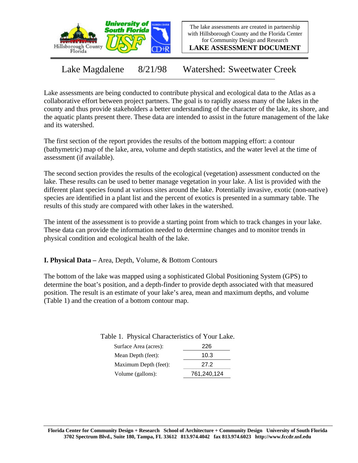

The lake assessments are created in partnership with Hillsborough County and the Florida Center for Community Design and Research

**LAKE ASSESSMENT DOCUMENT**

Lake Magdalene 8/21/98 Watershed: Sweetwater Creek

Lake assessments are being conducted to contribute physical and ecological data to the Atlas as a collaborative effort between project partners. The goal is to rapidly assess many of the lakes in the county and thus provide stakeholders a better understanding of the character of the lake, its shore, and the aquatic plants present there. These data are intended to assist in the future management of the lake and its watershed.

The first section of the report provides the results of the bottom mapping effort: a contour (bathymetric) map of the lake, area, volume and depth statistics, and the water level at the time of assessment (if available).

The second section provides the results of the ecological (vegetation) assessment conducted on the lake. These results can be used to better manage vegetation in your lake. A list is provided with the different plant species found at various sites around the lake. Potentially invasive, exotic (non-native) species are identified in a plant list and the percent of exotics is presented in a summary table. The results of this study are compared with other lakes in the watershed.

The intent of the assessment is to provide a starting point from which to track changes in your lake. These data can provide the information needed to determine changes and to monitor trends in physical condition and ecological health of the lake.

**I. Physical Data –** Area, Depth, Volume, & Bottom Contours

The bottom of the lake was mapped using a sophisticated Global Positioning System (GPS) to determine the boat's position, and a depth-finder to provide depth associated with that measured position. The result is an estimate of your lake's area, mean and maximum depths, and volume (Table 1) and the creation of a bottom contour map.

Table 1. Physical Characteristics of Your Lake.

| 226         |
|-------------|
| 10.3        |
| 27.2        |
| 761,240,124 |
|             |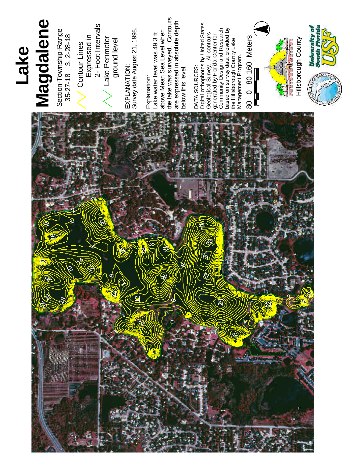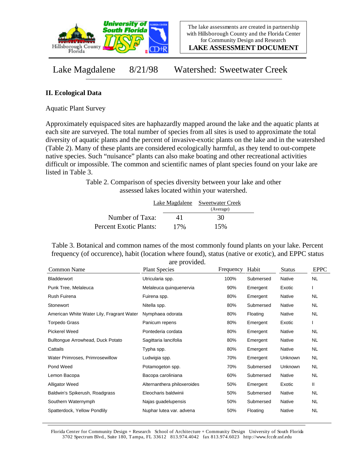

**LAKE ASSESSMENT DOCUMENT**

Lake Magdalene 8/21/98 Watershed: Sweetwater Creek

## **II. Ecological Data**

Aquatic Plant Survey

Approximately equispaced sites are haphazardly mapped around the lake and the aquatic plants at each site are surveyed. The total number of species from all sites is used to approximate the total diversity of aquatic plants and the percent of invasive-exotic plants on the lake and in the watershed (Table 2). Many of these plants are considered ecologically harmful, as they tend to out-compete native species. Such "nuisance" plants can also make boating and other recreational activities difficult or impossible. The common and scientific names of plant species found on your lake are listed in Table 3.

> Table 2. Comparison of species diversity between your lake and other assessed lakes located within your watershed.

|                        |     | Lake Magdalene Sweetwater Creek |  |
|------------------------|-----|---------------------------------|--|
|                        |     | (Average)                       |  |
| Number of Taxa:        | 41  | 30                              |  |
| Percent Exotic Plants: | 17% | 15%                             |  |

Table 3. Botanical and common names of the most commonly found plants on your lake. Percent frequency (of occurence), habit (location where found), status (native or exotic), and EPPC status are provided.

|                                           | are provided.               |           |           |               |             |
|-------------------------------------------|-----------------------------|-----------|-----------|---------------|-------------|
| Common Name                               | <b>Plant Species</b>        | Frequency | Habit     | <b>Status</b> | <b>EPPC</b> |
| Bladderwort                               | Utricularia spp.            | 100%      | Submersed | <b>Native</b> | <b>NL</b>   |
| Punk Tree, Melaleuca                      | Melaleuca quinquenervia     | 90%       | Emergent  | Exotic        |             |
| Rush Fuirena                              | Fuirena spp.                | 80%       | Emergent  | Native        | NL.         |
| Stonewort                                 | Nitella spp.                | 80%       | Submersed | <b>Native</b> | NL.         |
| American White Water Lily, Fragrant Water | Nymphaea odorata            | 80%       | Floating  | Native        | NL          |
| Torpedo Grass                             | Panicum repens              | 80%       | Emergent  | Exotic        |             |
| Pickerel Weed                             | Pontederia cordata          | 80%       | Emergent  | Native        | <b>NL</b>   |
| Bulltongue Arrowhead, Duck Potato         | Sagittaria lancifolia       | 80%       | Emergent  | Native        | NL.         |
| Cattails                                  | Typha spp.                  | 80%       | Emergent  | Native        | NL.         |
| Water Primroses, Primrosewillow           | Ludwigia spp.               | 70%       | Emergent  | Unknown       | NL.         |
| Pond Weed                                 | Potamogeton spp.            | 70%       | Submersed | Unknown       | NL.         |
| Lemon Bacopa                              | Bacopa caroliniana          | 60%       | Submersed | Native        | <b>NL</b>   |
| <b>Alligator Weed</b>                     | Alternanthera philoxeroides | 50%       | Emergent  | Exotic        | Ш           |
| Baldwin's Spikerush, Roadgrass            | Eleocharis baldwinii        | 50%       | Submersed | Native        | NL.         |
| Southern Waternymph                       | Najas guadelupensis         | 50%       | Submersed | Native        | NL          |
| Spatterdock, Yellow Pondlily              | Nuphar lutea var. advena    | 50%       | Floating  | Native        | <b>NL</b>   |

Florida Center for Community Design + Research School of Architecture + Community Design University of South Florida 3702 Spectrum Blvd., Suite 180, Tampa, FL 33612 813.974.4042 fax 813.974.6023 http://www.fccdr.usf.edu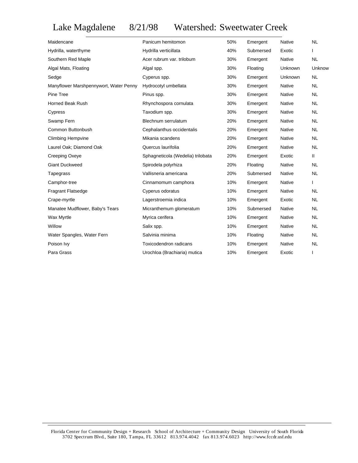## Lake Magdalene 8/21/98 Watershed: Sweetwater Creek

| Maidencane                             | Panicum hemitomon                 | 50% | Emergent  | Native        | <b>NL</b>    |
|----------------------------------------|-----------------------------------|-----|-----------|---------------|--------------|
| Hydrilla, waterthyme                   | Hydrilla verticillata             | 40% | Submersed | Exotic        |              |
| Southern Red Maple                     | Acer rubrum var. trilobum         | 30% | Emergent  | Native        | <b>NL</b>    |
| Algal Mats, Floating                   | Algal spp.                        | 30% | Floating  | Unknown       | Unknow       |
| Sedge                                  | Cyperus spp.                      | 30% | Emergent  | Unknown       | <b>NL</b>    |
| Manyflower Marshpennywort, Water Penny | Hydrocotyl umbellata              | 30% | Emergent  | Native        | <b>NL</b>    |
| Pine Tree                              | Pinus spp.                        | 30% | Emergent  | Native        | <b>NL</b>    |
| Horned Beak Rush                       | Rhynchospora cornulata            | 30% | Emergent  | Native        | <b>NL</b>    |
| Cypress                                | Taxodium spp.                     | 30% | Emergent  | Native        | <b>NL</b>    |
| Swamp Fern                             | Blechnum serrulatum               | 20% | Emergent  | Native        | <b>NL</b>    |
| Common Buttonbush                      | Cephalanthus occidentalis         | 20% | Emergent  | Native        | <b>NL</b>    |
| <b>Climbing Hempvine</b>               | Mikania scandens                  | 20% | Emergent  | Native        | <b>NL</b>    |
| Laurel Oak; Diamond Oak                | Quercus laurifolia                | 20% | Emergent  | Native        | <b>NL</b>    |
| Creeping Oxeye                         | Sphagneticola (Wedelia) trilobata | 20% | Emergent  | Exotic        | $\mathbf{H}$ |
| <b>Giant Duckweed</b>                  | Spirodela polyrhiza               | 20% | Floating  | Native        | <b>NL</b>    |
| Tapegrass                              | Vallisneria americana             | 20% | Submersed | <b>Native</b> | <b>NL</b>    |
| Camphor-tree                           | Cinnamomum camphora               | 10% | Emergent  | Native        | $\mathsf{I}$ |
| <b>Fragrant Flatsedge</b>              | Cyperus odoratus                  | 10% | Emergent  | <b>Native</b> | <b>NL</b>    |
| Crape-myrtle                           | Lagerstroemia indica              | 10% | Emergent  | Exotic        | <b>NL</b>    |
| Manatee Mudflower, Baby's Tears        | Micranthemum glomeratum           | 10% | Submersed | Native        | <b>NL</b>    |
| Wax Myrtle                             | Myrica cerifera                   | 10% | Emergent  | Native        | <b>NL</b>    |
| Willow                                 | Salix spp.                        | 10% | Emergent  | Native        | <b>NL</b>    |
| Water Spangles, Water Fern             | Salvinia minima                   | 10% | Floating  | Native        | <b>NL</b>    |
| Poison Ivy                             | Toxicodendron radicans            | 10% | Emergent  | Native        | <b>NL</b>    |
| Para Grass                             | Urochloa (Brachiaria) mutica      | 10% | Emergent  | Exotic        | $\mathbf{I}$ |
|                                        |                                   |     |           |               |              |